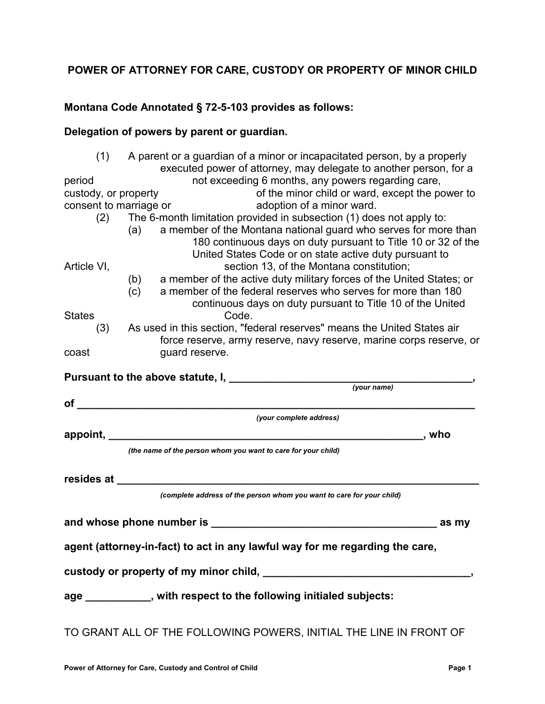# **POWER OF ATTORNEY FOR CARE, CUSTODY OR PROPERTY OF MINOR CHILD**

## **Montana Code Annotated § 72-5-103 provides as follows:**

## **Delegation of powers by parent or guardian.**

|                        | (1) A parent or a guardian of a minor or incapacitated person, by a properly                                                                                                                                                   |             |  |  |
|------------------------|--------------------------------------------------------------------------------------------------------------------------------------------------------------------------------------------------------------------------------|-------------|--|--|
|                        | executed power of attorney, may delegate to another person, for a                                                                                                                                                              |             |  |  |
| period                 | not exceeding 6 months, any powers regarding care,                                                                                                                                                                             |             |  |  |
| custody, or property   | of the minor child or ward, except the power to                                                                                                                                                                                |             |  |  |
| consent to marriage or | adoption of a minor ward.                                                                                                                                                                                                      |             |  |  |
| (2)                    | The 6-month limitation provided in subsection (1) does not apply to:                                                                                                                                                           |             |  |  |
|                        | a member of the Montana national guard who serves for more than<br>(a)                                                                                                                                                         |             |  |  |
|                        | 180 continuous days on duty pursuant to Title 10 or 32 of the                                                                                                                                                                  |             |  |  |
|                        | United States Code or on state active duty pursuant to                                                                                                                                                                         |             |  |  |
| Article VI,            | section 13, of the Montana constitution;                                                                                                                                                                                       |             |  |  |
|                        | a member of the active duty military forces of the United States; or<br>(b)                                                                                                                                                    |             |  |  |
|                        | a member of the federal reserves who serves for more than 180<br>(c)                                                                                                                                                           |             |  |  |
|                        | continuous days on duty pursuant to Title 10 of the United                                                                                                                                                                     |             |  |  |
| <b>States</b>          | Code.                                                                                                                                                                                                                          |             |  |  |
| (3)                    | As used in this section, "federal reserves" means the United States air                                                                                                                                                        |             |  |  |
|                        | force reserve, army reserve, navy reserve, marine corps reserve, or                                                                                                                                                            |             |  |  |
| coast                  | guard reserve.                                                                                                                                                                                                                 |             |  |  |
|                        |                                                                                                                                                                                                                                |             |  |  |
|                        |                                                                                                                                                                                                                                | (your name) |  |  |
| of                     |                                                                                                                                                                                                                                |             |  |  |
|                        | (your complete address)                                                                                                                                                                                                        |             |  |  |
|                        | appoint, ______________                                                                                                                                                                                                        | , who       |  |  |
|                        | (the name of the person whom you want to care for your child)                                                                                                                                                                  |             |  |  |
|                        |                                                                                                                                                                                                                                |             |  |  |
|                        | resides at the control of the control of the control of the control of the control of the control of the control of the control of the control of the control of the control of the control of the control of the control of t |             |  |  |
|                        | (complete address of the person whom you want to care for your child)                                                                                                                                                          |             |  |  |
|                        |                                                                                                                                                                                                                                | as my       |  |  |
|                        |                                                                                                                                                                                                                                |             |  |  |
|                        | agent (attorney-in-fact) to act in any lawful way for me regarding the care,                                                                                                                                                   |             |  |  |
|                        |                                                                                                                                                                                                                                |             |  |  |
|                        | age __________, with respect to the following initialed subjects:                                                                                                                                                              |             |  |  |
|                        |                                                                                                                                                                                                                                |             |  |  |
|                        | TO GRANT ALL OF THE FOLLOWING POWERS, INITIAL THE LINE IN FRONT OF                                                                                                                                                             |             |  |  |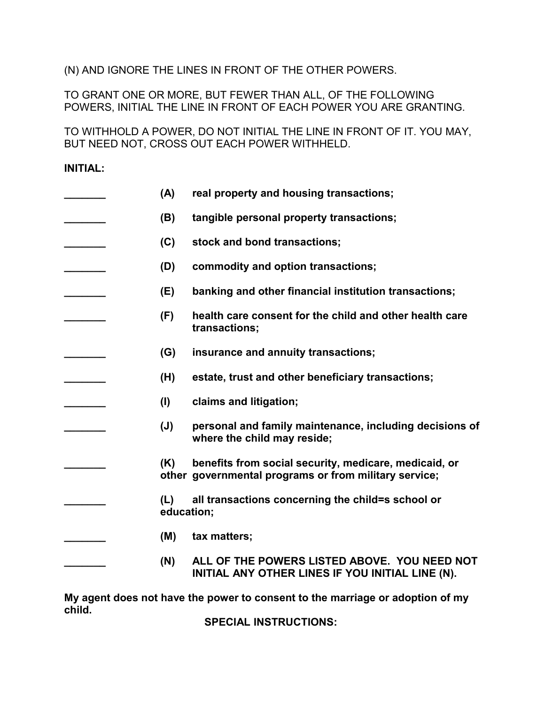(N) AND IGNORE THE LINES IN FRONT OF THE OTHER POWERS.

TO GRANT ONE OR MORE, BUT FEWER THAN ALL, OF THE FOLLOWING POWERS, INITIAL THE LINE IN FRONT OF EACH POWER YOU ARE GRANTING.

TO WITHHOLD A POWER, DO NOT INITIAL THE LINE IN FRONT OF IT. YOU MAY, BUT NEED NOT, CROSS OUT EACH POWER WITHHELD.

## **INITIAL:**

| (A)               | real property and housing transactions;                                                                        |
|-------------------|----------------------------------------------------------------------------------------------------------------|
| (B)               | tangible personal property transactions;                                                                       |
| (C)               | stock and bond transactions;                                                                                   |
| (D)               | commodity and option transactions;                                                                             |
| (E)               | banking and other financial institution transactions;                                                          |
| (F)               | health care consent for the child and other health care<br>transactions;                                       |
| (G)               | insurance and annuity transactions;                                                                            |
| (H)               | estate, trust and other beneficiary transactions;                                                              |
| (1)               | claims and litigation;                                                                                         |
| $(\mathsf{U})$    | personal and family maintenance, including decisions of<br>where the child may reside;                         |
| (K)               | benefits from social security, medicare, medicaid, or<br>other governmental programs or from military service; |
| (L)<br>education; | all transactions concerning the child=s school or                                                              |
| (M)               | tax matters;                                                                                                   |
| (N)               | ALL OF THE POWERS LISTED ABOVE. YOU NEED NOT<br>INITIAL ANY OTHER LINES IF YOU INITIAL LINE (N).               |

**My agent does not have the power to consent to the marriage or adoption of my child.**

**SPECIAL INSTRUCTIONS:**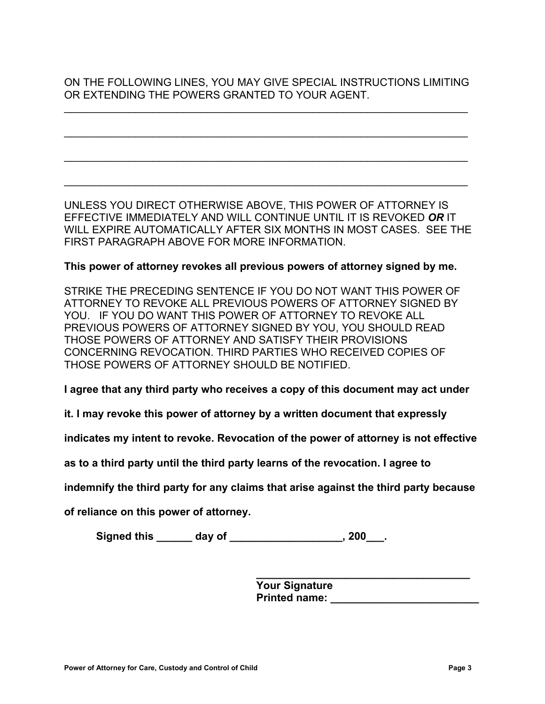ON THE FOLLOWING LINES, YOU MAY GIVE SPECIAL INSTRUCTIONS LIMITING OR EXTENDING THE POWERS GRANTED TO YOUR AGENT.

 $\mathcal{L}_\mathcal{L} = \mathcal{L}_\mathcal{L} = \mathcal{L}_\mathcal{L} = \mathcal{L}_\mathcal{L} = \mathcal{L}_\mathcal{L} = \mathcal{L}_\mathcal{L} = \mathcal{L}_\mathcal{L} = \mathcal{L}_\mathcal{L} = \mathcal{L}_\mathcal{L} = \mathcal{L}_\mathcal{L} = \mathcal{L}_\mathcal{L} = \mathcal{L}_\mathcal{L} = \mathcal{L}_\mathcal{L} = \mathcal{L}_\mathcal{L} = \mathcal{L}_\mathcal{L} = \mathcal{L}_\mathcal{L} = \mathcal{L}_\mathcal{L}$ 

 $\mathcal{L}_\mathcal{L} = \mathcal{L}_\mathcal{L} = \mathcal{L}_\mathcal{L} = \mathcal{L}_\mathcal{L} = \mathcal{L}_\mathcal{L} = \mathcal{L}_\mathcal{L} = \mathcal{L}_\mathcal{L} = \mathcal{L}_\mathcal{L} = \mathcal{L}_\mathcal{L} = \mathcal{L}_\mathcal{L} = \mathcal{L}_\mathcal{L} = \mathcal{L}_\mathcal{L} = \mathcal{L}_\mathcal{L} = \mathcal{L}_\mathcal{L} = \mathcal{L}_\mathcal{L} = \mathcal{L}_\mathcal{L} = \mathcal{L}_\mathcal{L}$ 

 $\mathcal{L}_\mathcal{L} = \mathcal{L}_\mathcal{L} = \mathcal{L}_\mathcal{L} = \mathcal{L}_\mathcal{L} = \mathcal{L}_\mathcal{L} = \mathcal{L}_\mathcal{L} = \mathcal{L}_\mathcal{L} = \mathcal{L}_\mathcal{L} = \mathcal{L}_\mathcal{L} = \mathcal{L}_\mathcal{L} = \mathcal{L}_\mathcal{L} = \mathcal{L}_\mathcal{L} = \mathcal{L}_\mathcal{L} = \mathcal{L}_\mathcal{L} = \mathcal{L}_\mathcal{L} = \mathcal{L}_\mathcal{L} = \mathcal{L}_\mathcal{L}$ 

 $\mathcal{L}_\mathcal{L} = \mathcal{L}_\mathcal{L} = \mathcal{L}_\mathcal{L} = \mathcal{L}_\mathcal{L} = \mathcal{L}_\mathcal{L} = \mathcal{L}_\mathcal{L} = \mathcal{L}_\mathcal{L} = \mathcal{L}_\mathcal{L} = \mathcal{L}_\mathcal{L} = \mathcal{L}_\mathcal{L} = \mathcal{L}_\mathcal{L} = \mathcal{L}_\mathcal{L} = \mathcal{L}_\mathcal{L} = \mathcal{L}_\mathcal{L} = \mathcal{L}_\mathcal{L} = \mathcal{L}_\mathcal{L} = \mathcal{L}_\mathcal{L}$ 

UNLESS YOU DIRECT OTHERWISE ABOVE, THIS POWER OF ATTORNEY IS EFFECTIVE IMMEDIATELY AND WILL CONTINUE UNTIL IT IS REVOKED *OR* IT WILL EXPIRE AUTOMATICALLY AFTER SIX MONTHS IN MOST CASES. SEE THE FIRST PARAGRAPH ABOVE FOR MORE INFORMATION.

#### **This power of attorney revokes all previous powers of attorney signed by me.**

STRIKE THE PRECEDING SENTENCE IF YOU DO NOT WANT THIS POWER OF ATTORNEY TO REVOKE ALL PREVIOUS POWERS OF ATTORNEY SIGNED BY YOU. IF YOU DO WANT THIS POWER OF ATTORNEY TO REVOKE ALL PREVIOUS POWERS OF ATTORNEY SIGNED BY YOU, YOU SHOULD READ THOSE POWERS OF ATTORNEY AND SATISFY THEIR PROVISIONS CONCERNING REVOCATION. THIRD PARTIES WHO RECEIVED COPIES OF THOSE POWERS OF ATTORNEY SHOULD BE NOTIFIED.

**I agree that any third party who receives a copy of this document may act under** 

**it. I may revoke this power of attorney by a written document that expressly** 

**indicates my intent to revoke. Revocation of the power of attorney is not effective** 

**as to a third party until the third party learns of the revocation. I agree to** 

**indemnify the third party for any claims that arise against the third party because** 

**of reliance on this power of attorney.**

Signed this day of the set of the set of the set of the set of the set of the set of the set of the set of the set of the set of the set of the set of the set of the set of the set of the set of the set of the set of the s

**Your Signature Printed name:**  $\blacksquare$ 

**\_\_\_\_\_\_\_\_\_\_\_\_\_\_\_\_\_\_\_\_\_\_\_\_\_\_\_\_\_\_\_\_\_\_\_\_**